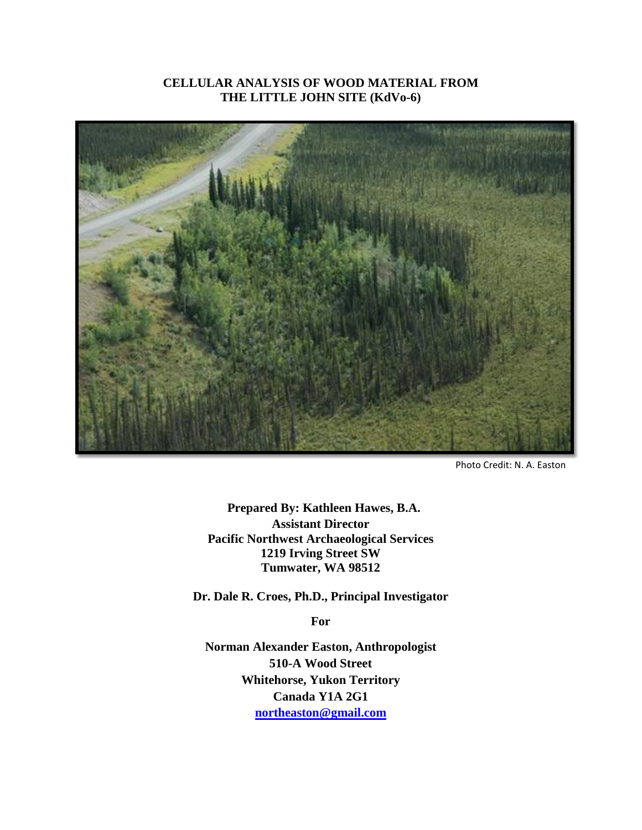## **CELLULAR ANALYSIS OF WOOD MATERIAL FROM THE LITTLE JOHN SITE (KdVo-6)**



Photo Credit: N. A. Easton

**Prepared By: Kathleen Hawes, B.A. Assistant Director Pacific Northwest Archaeological Services 1219 Irving Street SW Tumwater, WA 98512**

**Dr. Dale R. Croes, Ph.D., Principal Investigator**

**For**

**Norman Alexander Easton, Anthropologist 510-A Wood Street Whitehorse, Yukon Territory Canada Y1A 2G1 [northeaston@gmail.com](mailto:northeaston@gmail.com)**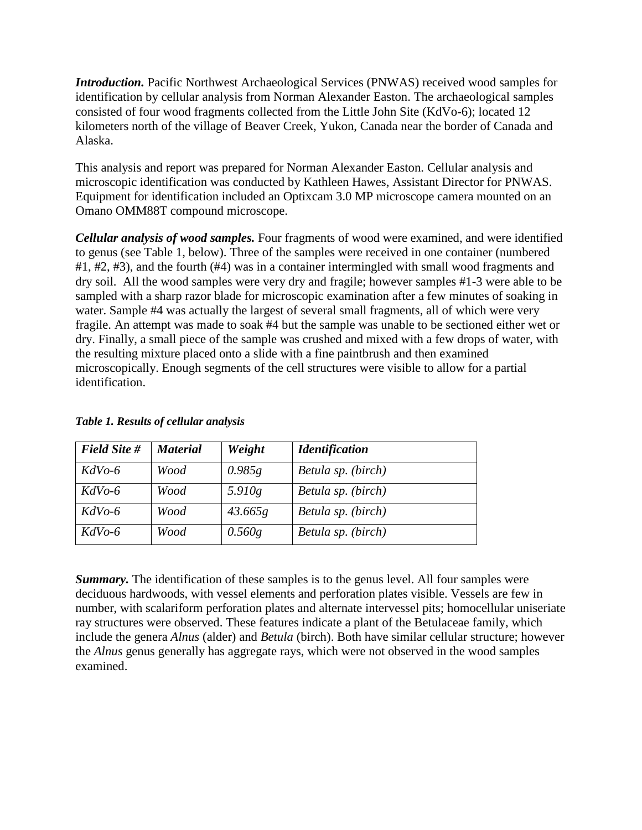*Introduction.* Pacific Northwest Archaeological Services (PNWAS) received wood samples for identification by cellular analysis from Norman Alexander Easton. The archaeological samples consisted of four wood fragments collected from the Little John Site (KdVo-6); located 12 kilometers north of the village of Beaver Creek, Yukon, Canada near the border of Canada and Alaska.

This analysis and report was prepared for Norman Alexander Easton. Cellular analysis and microscopic identification was conducted by Kathleen Hawes, Assistant Director for PNWAS. Equipment for identification included an Optixcam 3.0 MP microscope camera mounted on an [Omano OMM88T compound](http://www.microscope.com/omano-omm200t-metallurgical-darkfield-compound-microscope-p-37.html) microscope.

*Cellular analysis of wood samples.* Four fragments of wood were examined, and were identified to genus (see Table 1, below). Three of the samples were received in one container (numbered #1, #2, #3), and the fourth (#4) was in a container intermingled with small wood fragments and dry soil. All the wood samples were very dry and fragile; however samples #1-3 were able to be sampled with a sharp razor blade for microscopic examination after a few minutes of soaking in water. Sample #4 was actually the largest of several small fragments, all of which were very fragile. An attempt was made to soak #4 but the sample was unable to be sectioned either wet or dry. Finally, a small piece of the sample was crushed and mixed with a few drops of water, with the resulting mixture placed onto a slide with a fine paintbrush and then examined microscopically. Enough segments of the cell structures were visible to allow for a partial identification.

| <b>Field Site #</b> | <b>Material</b> | Weight  | <b>Identification</b> |
|---------------------|-----------------|---------|-----------------------|
| $KdVo-6$            | Wood            | 0.985g  | Betula sp. (birch)    |
| $KdVo-6$            | Wood            | 5.910g  | Betula sp. (birch)    |
| $KdVo-6$            | Wood            | 43.665g | Betula sp. (birch)    |
| $KdVo-6$            | Wood            | 0.560g  | Betula sp. (birch)    |

## *Table 1. Results of cellular analysis*

*Summary*. The identification of these samples is to the genus level. All four samples were deciduous hardwoods, with vessel elements and perforation plates visible. Vessels are few in number, with scalariform perforation plates and alternate intervessel pits; homocellular uniseriate ray structures were observed. These features indicate a plant of the Betulaceae family, which include the genera *Alnus* (alder) and *Betula* (birch). Both have similar cellular structure; however the *Alnus* genus generally has aggregate rays, which were not observed in the wood samples examined.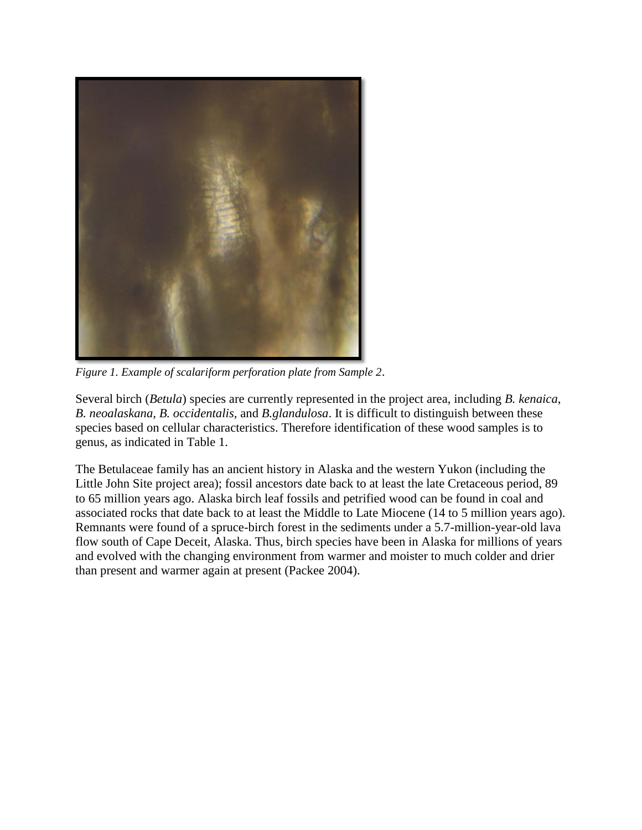

*Figure 1. Example of scalariform perforation plate from Sample 2*.

Several birch (*Betula*) species are currently represented in the project area, including *B. kenaica*, *B. neoalaskana, B. occidentalis,* and *B.glandulosa*. It is difficult to distinguish between these species based on cellular characteristics. Therefore identification of these wood samples is to genus, as indicated in Table 1.

The Betulaceae family has an ancient history in Alaska and the western Yukon (including the Little John Site project area); fossil ancestors date back to at least the late Cretaceous period, 89 to 65 million years ago. Alaska birch leaf fossils and petrified wood can be found in coal and associated rocks that date back to at least the Middle to Late Miocene (14 to 5 million years ago). Remnants were found of a spruce-birch forest in the sediments under a 5.7-million-year-old lava flow south of Cape Deceit, Alaska. Thus, birch species have been in Alaska for millions of years and evolved with the changing environment from warmer and moister to much colder and drier than present and warmer again at present (Packee 2004).